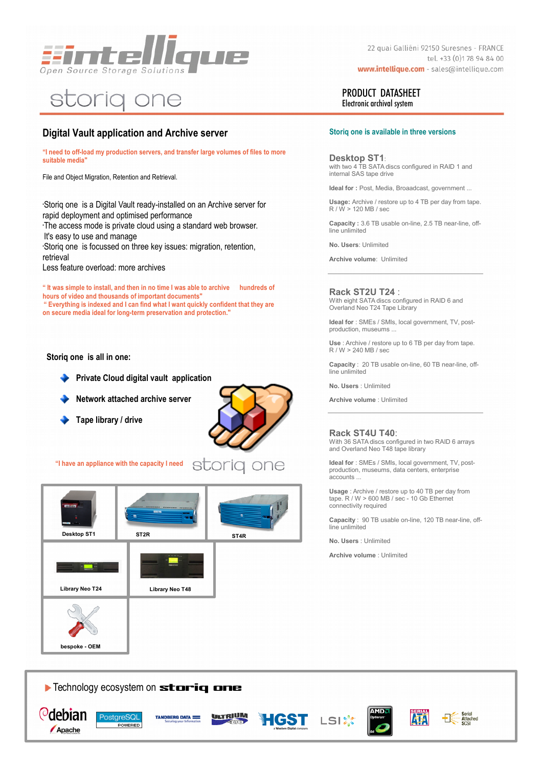

# storig one

# **Digital Vault application and Archive server**

**"I need to off-load my production servers, and transfer large volumes of files to more suitable media"**

File and Object Migration, Retention and Retrieval.

•Storiq one is a Digital Vault ready-installed on an Archive server for rapid deployment and optimised performance •The access mode is private cloud using a standard web browser.

It's easy to use and manage

•Storiq one is focussed on three key issues: migration, retention, retrieval

Less feature overload: more archives

**" It was simple to install, and then in no time I was able to archive hundreds of hours of video and thousands of important documents" " Everything is indexed and I can find what I want quickly confident that they are on secure media ideal for long-term preservation and protection."**

**Storiq one is all in one:**



- **Network attached archive server**
- **Tape library / drive**



**"I have an appliance with the capacity I need**



22 quai Galliéni 92150 Suresnes - FRANCE tel. +33 (0)178 94 84 00 www.intellique.com - sales@intellique.com

### PRODUCT DATASHEET Electronic archival system

#### **Storiq one is available in three versions**

**Desktop ST1**: with two 4 TB SATA discs configured in RAID 1 and internal SAS tape drive

**Ideal for :** Post, Media, Broaadcast, government ...

**Usage:** Archive / restore up to 4 TB per day from tape. R / W > 120 MB / sec

**Capacity :** 3.6 TB usable on-line, 2.5 TB near-line, off-line unlimited

**No. Users**: Unlimited

**Archive volume**: Unlimited

**Rack ST2U T24** :

With eight SATA discs configured in RAID 6 and Overland Neo T24 Tape Library

**Ideal for** : SMEs / SMIs, local government, TV, postproduction, museums ...

**Use** : Archive / restore up to 6 TB per day from tape. R / W > 240 MB / sec

**Capacity** : 20 TB usable on-line, 60 TB near-line, off-line unlimited

**No. Users** : Unlimited

**Archive volume** : Unlimited

#### **Rack ST4U T40**:

With 36 SATA discs configured in two RAID 6 arrays and Overland Neo T48 tape library

**Ideal for** : SMEs / SMIs, local government, TV, postproduction, museums, data centers, enterprise accounts ...

**Usage** : Archive / restore up to 40 TB per day from tape. R / W > 600 MB / sec - 10 Gb Ethernet connectivity required

**Capacity** : 90 TB usable on-line, 120 TB near-line, offline unlimited

**No. Users** : Unlimited

**Archive volume** : Unlimited